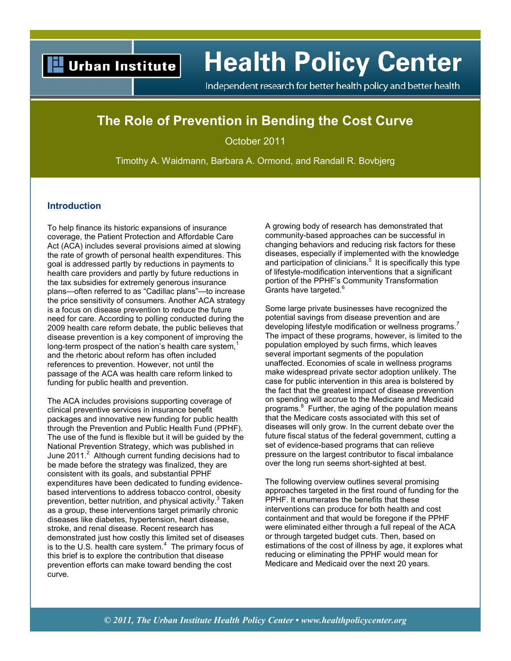# **Urban Institute**

# **Health Policy Center**

Independent research for better health policy and better health

# **The Role of Prevention in Bending the Cost Curve**

October 2011

Timothy A. Waidmann, Barbara A. Ormond, and Randall R. Bovbjerg

#### **Introduction**

To help finance its historic expansions of insurance coverage, the Patient Protection and Affordable Care Act (ACA) includes several provisions aimed at slowing the rate of growth of personal health expenditures. This goal is addressed partly by reductions in payments to health care providers and partly by future reductions in the tax subsidies for extremely generous insurance plans—often referred to as "Cadillac plans"—to increase the price sensitivity of consumers. Another ACA strategy is a focus on disease prevention to reduce the future need for care. According to polling conducted during the 2009 health care reform debate, the public believes that disease prevention is a key component of improving the long-term prospect of the nation's health care system, $<sup>1</sup>$ </sup> and the rhetoric about reform has often included references to prevention. However, not until the passage of the ACA was health care reform linked to funding for public health and prevention.

The ACA includes provisions supporting coverage of clinical preventive services in insurance benefit packages and innovative new funding for public health through the Prevention and Public Health Fund (PPHF). The use of the fund is flexible but it will be guided by the National Prevention Strategy, which was published in June 2011.<sup>2</sup> Although current funding decisions had to be made before the strategy was finalized, they are consistent with its goals, and substantial PPHF expenditures have been dedicated to funding evidencebased interventions to address tobacco control, obesity prevention, better nutrition, and physical activity. $3$  Taken as a group, these interventions target primarily chronic diseases like diabetes, hypertension, heart disease, stroke, and renal disease. Recent research has demonstrated just how costly this limited set of diseases is to the U.S. health care system. $<sup>4</sup>$  The primary focus of</sup> this brief is to explore the contribution that disease prevention efforts can make toward bending the cost curve.

A growing body of research has demonstrated that community-based approaches can be successful in changing behaviors and reducing risk factors for these diseases, especially if implemented with the knowledge and participation of clinicians.<sup>5</sup> It is specifically this type of lifestyle-modification interventions that a significant portion of the PPHF's Community Transformation Grants have targeted.<sup>6</sup>

Some large private businesses have recognized the potential savings from disease prevention and are developing lifestyle modification or wellness programs.<sup>7</sup> The impact of these programs, however, is limited to the population employed by such firms, which leaves several important segments of the population unaffected. Economies of scale in wellness programs make widespread private sector adoption unlikely. The case for public intervention in this area is bolstered by the fact that the greatest impact of disease prevention on spending will accrue to the Medicare and Medicaid programs.<sup>8</sup> Further, the aging of the population means that the Medicare costs associated with this set of diseases will only grow. In the current debate over the future fiscal status of the federal government, cutting a set of evidence-based programs that can relieve pressure on the largest contributor to fiscal imbalance over the long run seems short-sighted at best.

The following overview outlines several promising approaches targeted in the first round of funding for the PPHF. It enumerates the benefits that these interventions can produce for both health and cost containment and that would be foregone if the PPHF were eliminated either through a full repeal of the ACA or through targeted budget cuts. Then, based on estimations of the cost of illness by age, it explores what reducing or eliminating the PPHF would mean for Medicare and Medicaid over the next 20 years.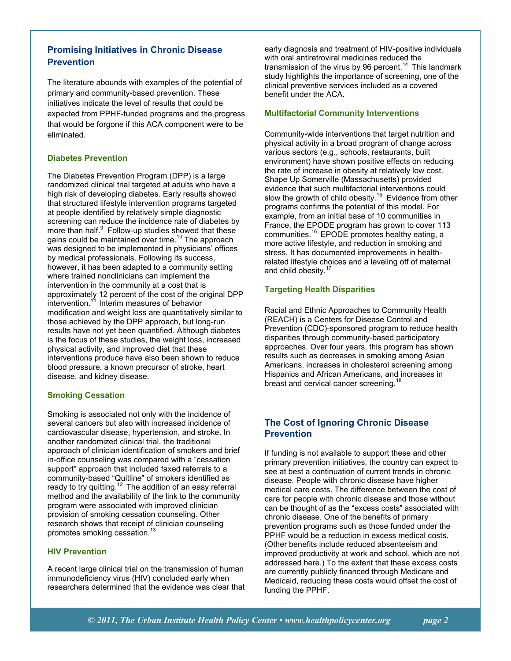# **Promising Initiatives in Chronic Disease Prevention**

The literature abounds with examples of the potential of primary and community-based prevention. These initiatives indicate the level of results that could be expected from PPHF-funded programs and the progress that would be forgone if this ACA component were to be eliminated.

#### **Diabetes Prevention**

The Diabetes Prevention Program (DPP) is a large randomized clinical trial targeted at adults who have a high risk of developing diabetes. Early results showed that structured lifestyle intervention programs targeted at people identified by relatively simple diagnostic screening can reduce the incidence rate of diabetes by more than half.<sup>9</sup> Follow-up studies showed that these gains could be maintained over time.<sup>10</sup> The approach was designed to be implemented in physicians' offices by medical professionals. Following its success, however, it has been adapted to a community setting where trained nonclinicians can implement the intervention in the community at a cost that is approximately 12 percent of the cost of the original DPP intervention.<sup>11</sup> Interim measures of behavior modification and weight loss are quantitatively similar to those achieved by the DPP approach, but long-run results have not yet been quantified. Although diabetes is the focus of these studies, the weight loss, increased physical activity, and improved diet that these interventions produce have also been shown to reduce blood pressure, a known precursor of stroke, heart disease, and kidney disease.

#### **Smoking Cessation**

Smoking is associated not only with the incidence of several cancers but also with increased incidence of cardiovascular disease, hypertension, and stroke. In another randomized clinical trial, the traditional approach of clinician identification of smokers and brief in-office counseling was compared with a "cessation support" approach that included faxed referrals to a community-based "Quitline" of smokers identified as ready to try quitting.<sup>12</sup> The addition of an easy referral method and the availability of the link to the community program were associated with improved clinician provision of smoking cessation counseling. Other research shows that receipt of clinician counseling promotes smoking cessation.<sup>13</sup>

#### **HIV Prevention**

A recent large clinical trial on the transmission of human immunodeficiency virus (HIV) concluded early when researchers determined that the evidence was clear that

early diagnosis and treatment of HIV-positive individuals with oral antiretroviral medicines reduced the transmission of the virus by 96 percent.<sup>14</sup> This landmark study highlights the importance of screening, one of the clinical preventive services included as a covered benefit under the ACA.

#### **Multifactorial Community Interventions**

Community-wide interventions that target nutrition and physical activity in a broad program of change across various sectors (e.g., schools, restaurants, built environment) have shown positive effects on reducing the rate of increase in obesity at relatively low cost. Shape Up Somerville (Massachusetts) provided evidence that such multifactorial interventions could slow the growth of child obesity. $15$  Evidence from other programs confirms the potential of this model. For example, from an initial base of 10 communities in France, the EPODE program has grown to cover 113 communities.<sup>16</sup> EPODE promotes healthy eating, a more active lifestyle, and reduction in smoking and stress. It has documented improvements in healthrelated lifestyle choices and a leveling off of maternal and child obesity.<sup>17</sup>

#### **Targeting Health Disparities**

Racial and Ethnic Approaches to Community Health (REACH) is a Centers for Disease Control and Prevention (CDC)-sponsored program to reduce health disparities through community-based participatory approaches. Over four years, this program has shown results such as decreases in smoking among Asian Americans, increases in cholesterol screening among Hispanics and African Americans, and increases in breast and cervical cancer screening.<sup>18</sup>

## **The Cost of Ignoring Chronic Disease Prevention**

If funding is not available to support these and other primary prevention initiatives, the country can expect to see at best a continuation of current trends in chronic disease. People with chronic disease have higher medical care costs. The difference between the cost of care for people with chronic disease and those without can be thought of as the "excess costs" associated with chronic disease. One of the benefits of primary prevention programs such as those funded under the PPHF would be a reduction in excess medical costs. (Other benefits include reduced absenteeism and improved productivity at work and school, which are not addressed here.) To the extent that these excess costs are currently publicly financed through Medicare and Medicaid, reducing these costs would offset the cost of funding the PPHF.

*© 2011, The Urban Institute Health Policy Center • www.healthpolicycenter.org page 2*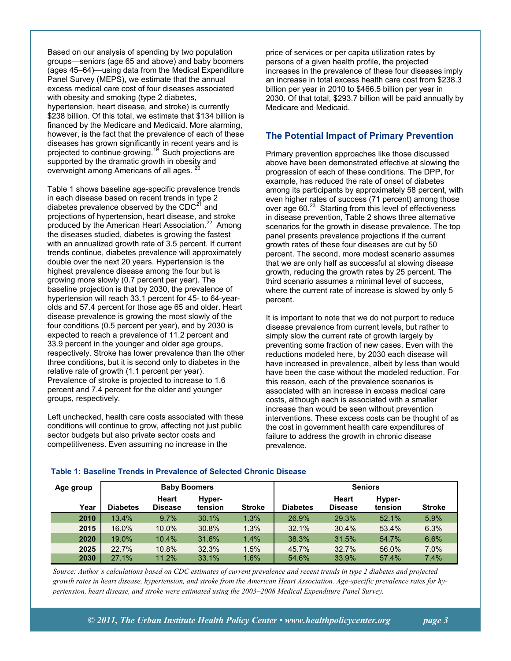Based on our analysis of spending by two population groups—seniors (age 65 and above) and baby boomers (ages 45–64)—using data from the Medical Expenditure Panel Survey (MEPS), we estimate that the annual excess medical care cost of four diseases associated with obesity and smoking (type 2 diabetes, hypertension, heart disease, and stroke) is currently \$238 billion. Of this total, we estimate that \$134 billion is financed by the Medicare and Medicaid. More alarming, however, is the fact that the prevalence of each of these diseases has grown significantly in recent years and is projected to continue growing.<sup>19</sup> Such projections are supported by the dramatic growth in obesity and overweight among Americans of all ages.  $2^{\circ}$ 

Table 1 shows baseline age-specific prevalence trends in each disease based on recent trends in type 2 diabetes prevalence observed by the  $CDC<sup>21</sup>$  and projections of hypertension, heart disease, and stroke produced by the American Heart Association.<sup>22</sup> Among the diseases studied, diabetes is growing the fastest with an annualized growth rate of 3.5 percent. If current trends continue, diabetes prevalence will approximately double over the next 20 years. Hypertension is the highest prevalence disease among the four but is growing more slowly (0.7 percent per year). The baseline projection is that by 2030, the prevalence of hypertension will reach 33.1 percent for 45- to 64-yearolds and 57.4 percent for those age 65 and older. Heart disease prevalence is growing the most slowly of the four conditions (0.5 percent per year), and by 2030 is expected to reach a prevalence of 11.2 percent and 33.9 percent in the younger and older age groups, respectively. Stroke has lower prevalence than the other three conditions, but it is second only to diabetes in the relative rate of growth (1.1 percent per year). Prevalence of stroke is projected to increase to 1.6 percent and 7.4 percent for the older and younger groups, respectively.

Left unchecked, health care costs associated with these conditions will continue to grow, affecting not just public sector budgets but also private sector costs and competitiveness. Even assuming no increase in the

price of services or per capita utilization rates by persons of a given health profile, the projected increases in the prevalence of these four diseases imply an increase in total excess health care cost from \$238.3 billion per year in 2010 to \$466.5 billion per year in 2030. Of that total, \$293.7 billion will be paid annually by Medicare and Medicaid.

## **The Potential Impact of Primary Prevention**

Primary prevention approaches like those discussed above have been demonstrated effective at slowing the progression of each of these conditions. The DPP, for example, has reduced the rate of onset of diabetes among its participants by approximately 58 percent, with even higher rates of success (71 percent) among those over age 60. $23$  Starting from this level of effectiveness in disease prevention, Table 2 shows three alternative scenarios for the growth in disease prevalence. The top panel presents prevalence projections if the current growth rates of these four diseases are cut by 50 percent. The second, more modest scenario assumes that we are only half as successful at slowing disease growth, reducing the growth rates by 25 percent. The third scenario assumes a minimal level of success, where the current rate of increase is slowed by only 5 percent.

It is important to note that we do not purport to reduce disease prevalence from current levels, but rather to simply slow the current rate of growth largely by preventing some fraction of new cases. Even with the reductions modeled here, by 2030 each disease will have increased in prevalence, albeit by less than would have been the case without the modeled reduction. For this reason, each of the prevalence scenarios is associated with an increase in excess medical care costs, although each is associated with a smaller increase than would be seen without prevention interventions. These excess costs can be thought of as the cost in government health care expenditures of failure to address the growth in chronic disease prevalence.

| Age group | <b>Baby Boomers</b> |                                |                   | <b>Seniors</b> |                 |                         |                   |               |
|-----------|---------------------|--------------------------------|-------------------|----------------|-----------------|-------------------------|-------------------|---------------|
| Year      | <b>Diabetes</b>     | <b>Heart</b><br><b>Disease</b> | Hyper-<br>tension | <b>Stroke</b>  | <b>Diabetes</b> | Heart<br><b>Disease</b> | Hyper-<br>tension | <b>Stroke</b> |
| 2010      | 13.4%               | 9.7%                           | 30.1%             | 1.3%           | 26.9%           | 29.3%                   | 52.1%             | 5.9%          |
| 2015      | 16.0%               | 10.0%                          | 30.8%             | 1.3%           | 32.1%           | 30.4%                   | 53.4%             | 6.3%          |
| 2020      | 19.0%               | 10.4%                          | 31.6%             | 1.4%           | 38.3%           | 31.5%                   | 54.7%             | 6.6%          |
| 2025      | 22.7%               | 10.8%                          | 32.3%             | 1.5%           | 45.7%           | 32.7%                   | 56.0%             | 7.0%          |
| 2030      | 27.1%               | 11.2%                          | 33.1%             | 1.6%           | 54.6%           | 33.9%                   | 57.4%             | 7.4%          |

#### **Table 1: Baseline Trends in Prevalence of Selected Chronic Disease**

*Source: Author's calculations based on CDC estimates of current prevalence and recent trends in type 2 diabetes and projected growth rates in heart disease, hypertension, and stroke from the American Heart Association. Age-specific prevalence rates for hypertension, heart disease, and stroke were estimated using the 2003–2008 Medical Expenditure Panel Survey.*

*© 2011, The Urban Institute Health Policy Center • www.healthpolicycenter.org page 3*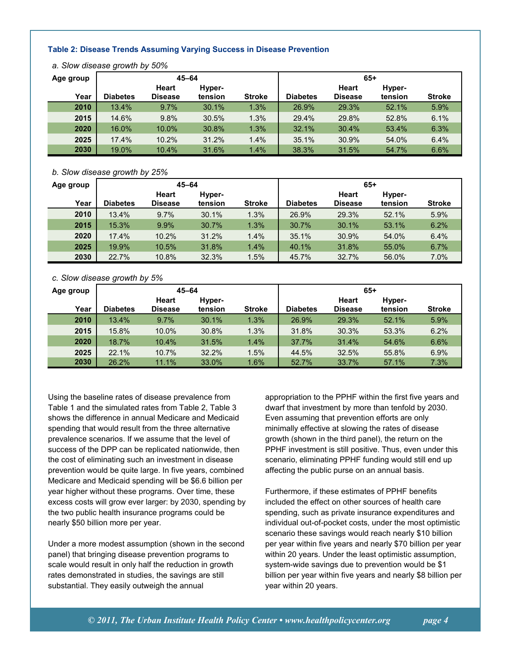#### **Table 2: Disease Trends Assuming Varying Success in Disease Prevention**

| Age group | $45 - 64$       |                         |                   | $65+$         |                 |                         |                   |               |
|-----------|-----------------|-------------------------|-------------------|---------------|-----------------|-------------------------|-------------------|---------------|
| Year      | <b>Diabetes</b> | Heart<br><b>Disease</b> | Hyper-<br>tension | <b>Stroke</b> | <b>Diabetes</b> | Heart<br><b>Disease</b> | Hyper-<br>tension | <b>Stroke</b> |
| 2010      | 13.4%           | 9.7%                    | 30.1%             | 1.3%          | 26.9%           | 29.3%                   | 52.1%             | 5.9%          |
| 2015      | 14.6%           | 9.8%                    | 30.5%             | 1.3%          | 29.4%           | 29.8%                   | 52.8%             | 6.1%          |
| 2020      | 16.0%           | 10.0%                   | 30.8%             | 1.3%          | 32.1%           | 30.4%                   | 53.4%             | 6.3%          |
| 2025      | 17.4%           | 10.2%                   | 31.2%             | 1.4%          | 35.1%           | 30.9%                   | 54.0%             | 6.4%          |
| 2030      | 19.0%           | 10.4%                   | 31.6%             | 1.4%          | 38.3%           | 31.5%                   | 54.7%             | 6.6%          |

*a. Slow disease growth by 50%*

#### *b. Slow disease growth by 25%*

| Age group | $45 - 64$       |                |         | $65+$         |                 |                |         |               |
|-----------|-----------------|----------------|---------|---------------|-----------------|----------------|---------|---------------|
|           |                 | <b>Heart</b>   | Hyper-  |               |                 | Heart          | Hyper-  |               |
| Year      | <b>Diabetes</b> | <b>Disease</b> | tension | <b>Stroke</b> | <b>Diabetes</b> | <b>Disease</b> | tension | <b>Stroke</b> |
| 2010      | 13.4%           | 9.7%           | 30.1%   | 1.3%          | 26.9%           | 29.3%          | 52.1%   | 5.9%          |
| 2015      | 15.3%           | 9.9%           | 30.7%   | 1.3%          | 30.7%           | 30.1%          | 53.1%   | 6.2%          |
| 2020      | 17.4%           | 10.2%          | 31.2%   | 1.4%          | 35.1%           | 30.9%          | 54.0%   | 6.4%          |
| 2025      | 19.9%           | 10.5%          | 31.8%   | 1.4%          | 40.1%           | 31.8%          | 55.0%   | 6.7%          |
| 2030      | 22.7%           | 10.8%          | 32.3%   | 1.5%          | 45.7%           | 32.7%          | 56.0%   | 7.0%          |

#### *c. Slow disease growth by 5%*

| Age group | $45 - 64$       |                                |         | $65+$         |                 |                         |         |               |
|-----------|-----------------|--------------------------------|---------|---------------|-----------------|-------------------------|---------|---------------|
| Year      | <b>Diabetes</b> | <b>Heart</b><br><b>Disease</b> | Hyper-  | <b>Stroke</b> | <b>Diabetes</b> | Heart<br><b>Disease</b> | Hyper-  | <b>Stroke</b> |
|           |                 |                                | tension |               |                 |                         | tension |               |
| 2010      | 13.4%           | 9.7%                           | 30.1%   | 1.3%          | 26.9%           | 29.3%                   | 52.1%   | 5.9%          |
| 2015      | 15.8%           | 10.0%                          | 30.8%   | 1.3%          | 31.8%           | 30.3%                   | 53.3%   | 6.2%          |
| 2020      | 18.7%           | 10.4%                          | 31.5%   | 1.4%          | 37.7%           | 31.4%                   | 54.6%   | 6.6%          |
| 2025      | 22.1%           | 10.7%                          | 32.2%   | 1.5%          | 44.5%           | 32.5%                   | 55.8%   | 6.9%          |
| 2030      | 26.2%           | 11.1%                          | 33.0%   | 1.6%          | 52.7%           | 33.7%                   | 57.1%   | 7.3%          |

Using the baseline rates of disease prevalence from Table 1 and the simulated rates from Table 2, Table 3 shows the difference in annual Medicare and Medicaid spending that would result from the three alternative prevalence scenarios. If we assume that the level of success of the DPP can be replicated nationwide, then the cost of eliminating such an investment in disease prevention would be quite large. In five years, combined Medicare and Medicaid spending will be \$6.6 billion per year higher without these programs. Over time, these excess costs will grow ever larger: by 2030, spending by the two public health insurance programs could be nearly \$50 billion more per year.

Under a more modest assumption (shown in the second panel) that bringing disease prevention programs to scale would result in only half the reduction in growth rates demonstrated in studies, the savings are still substantial. They easily outweigh the annual

appropriation to the PPHF within the first five years and dwarf that investment by more than tenfold by 2030. Even assuming that prevention efforts are only minimally effective at slowing the rates of disease growth (shown in the third panel), the return on the PPHF investment is still positive. Thus, even under this scenario, eliminating PPHF funding would still end up affecting the public purse on an annual basis.

Furthermore, if these estimates of PPHF benefits included the effect on other sources of health care spending, such as private insurance expenditures and individual out-of-pocket costs, under the most optimistic scenario these savings would reach nearly \$10 billion per year within five years and nearly \$70 billion per year within 20 years. Under the least optimistic assumption, system-wide savings due to prevention would be \$1 billion per year within five years and nearly \$8 billion per year within 20 years.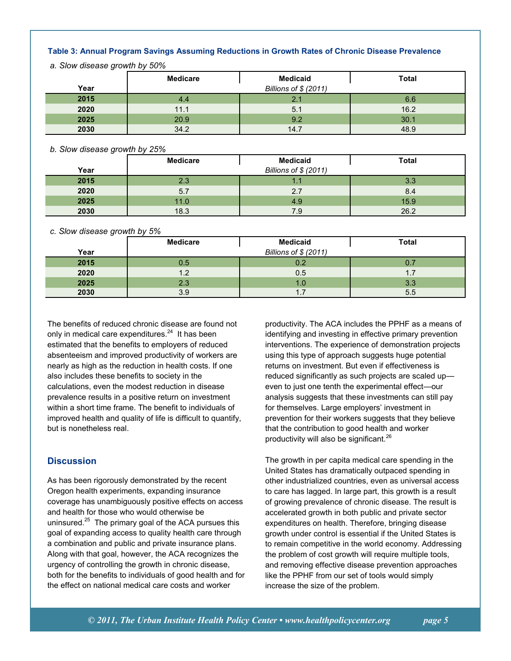#### **Table 3: Annual Program Savings Assuming Reductions in Growth Rates of Chronic Disease Prevalence**

*a. Slow disease growth by 50%*

|      | <b>Medicare</b> | <b>Medicaid</b>       | <b>Total</b> |
|------|-----------------|-----------------------|--------------|
| Year |                 | Billions of \$ (2011) |              |
| 2015 | 4.4             | 2.1                   | 6.6          |
| 2020 | 11.1            | 5.1                   | 16.2         |
| 2025 | 20.9            | 9.2                   | 30.1         |
| 2030 | 34.2            | 14.7                  | 48.9         |

#### *b. Slow disease growth by 25%*

|      | <b>Medicare</b>       | <b>Medicaid</b> | <b>Total</b> |  |  |  |
|------|-----------------------|-----------------|--------------|--|--|--|
| Year | Billions of \$ (2011) |                 |              |  |  |  |
| 2015 | 2.3                   |                 | 3.3          |  |  |  |
| 2020 | 5.7                   | 2.7             | 8.4          |  |  |  |
| 2025 | 11.0                  | 4.9             | 15.9         |  |  |  |
| 2030 | 18.3                  | 7.9             | 26.2         |  |  |  |

#### *c. Slow disease growth by 5%*

|      | <b>Medicare</b>       | <b>Medicaid</b> | <b>Total</b> |  |  |  |
|------|-----------------------|-----------------|--------------|--|--|--|
| Year | Billions of \$ (2011) |                 |              |  |  |  |
| 2015 | 0.5                   | 0.2             | 0.7          |  |  |  |
| 2020 | 1.2                   | 0.5             | 1.7          |  |  |  |
| 2025 | 2.3                   | 1.0             | 3.3          |  |  |  |
| 2030 | 3.9                   | 1.7             | 5.5          |  |  |  |

The benefits of reduced chronic disease are found not only in medical care expenditures.<sup>24</sup> It has been estimated that the benefits to employers of reduced absenteeism and improved productivity of workers are nearly as high as the reduction in health costs. If one also includes these benefits to society in the calculations, even the modest reduction in disease prevalence results in a positive return on investment within a short time frame. The benefit to individuals of improved health and quality of life is difficult to quantify, but is nonetheless real.

# **Discussion**

As has been rigorously demonstrated by the recent Oregon health experiments, expanding insurance coverage has unambiguously positive effects on access and health for those who would otherwise be uninsured.<sup>25</sup> The primary goal of the ACA pursues this goal of expanding access to quality health care through a combination and public and private insurance plans. Along with that goal, however, the ACA recognizes the urgency of controlling the growth in chronic disease, both for the benefits to individuals of good health and for the effect on national medical care costs and worker

productivity. The ACA includes the PPHF as a means of identifying and investing in effective primary prevention interventions. The experience of demonstration projects using this type of approach suggests huge potential returns on investment. But even if effectiveness is reduced significantly as such projects are scaled up even to just one tenth the experimental effect—our analysis suggests that these investments can still pay for themselves. Large employers' investment in prevention for their workers suggests that they believe that the contribution to good health and worker productivity will also be significant.<sup>26</sup>

The growth in per capita medical care spending in the United States has dramatically outpaced spending in other industrialized countries, even as universal access to care has lagged. In large part, this growth is a result of growing prevalence of chronic disease. The result is accelerated growth in both public and private sector expenditures on health. Therefore, bringing disease growth under control is essential if the United States is to remain competitive in the world economy. Addressing the problem of cost growth will require multiple tools, and removing effective disease prevention approaches like the PPHF from our set of tools would simply increase the size of the problem.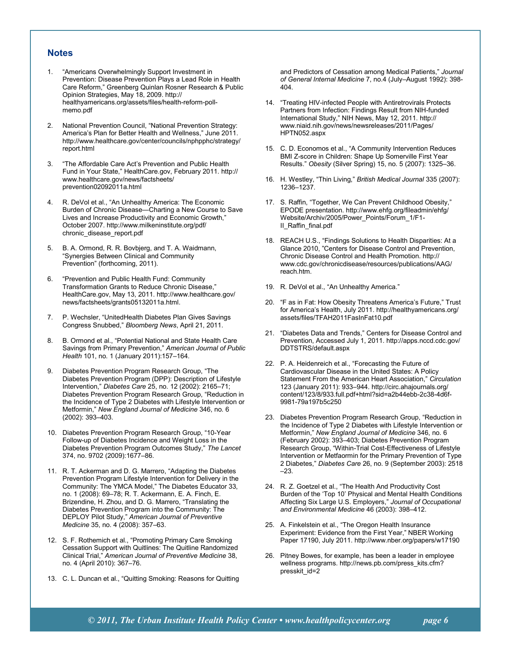#### **Notes**

- 1. "Americans Overwhelmingly Support Investment in Prevention: Disease Prevention Plays a Lead Role in Health Care Reform," Greenberg Quinlan Rosner Research & Public Opinion Strategies, May 18, 2009. http:// healthyamericans.org/assets/files/health-reform-pollmemo.pdf
- 2. National Prevention Council, "National Prevention Strategy: America's Plan for Better Health and Wellness," June 2011. http://www.healthcare.gov/center/councils/nphpphc/strategy/ report.html
- 3. "The Affordable Care Act's Prevention and Public Health Fund in Your State," HealthCare.gov, February 2011. http:// www.healthcare.gov/news/factsheets/ prevention02092011a.html
- R. DeVol et al., "An Unhealthy America: The Economic Burden of Chronic Disease—Charting a New Course to Save Lives and Increase Productivity and Economic Growth," October 2007. http://www.milkeninstitute.org/pdf/ chronic\_disease\_report.pdf
- 5. B. A. Ormond, R. R. Bovbjerg, and T. A. Waidmann, "Synergies Between Clinical and Community Prevention" (forthcoming, 2011).
- 6. "Prevention and Public Health Fund: Community Transformation Grants to Reduce Chronic Disease," HealthCare.gov, May 13, 2011. http://www.healthcare.gov/ news/factsheets/grants05132011a.html.
- 7. P. Wechsler, "UnitedHealth Diabetes Plan Gives Savings Congress Snubbed," *Bloomberg News*, April 21, 2011.
- 8. B. Ormond et al., "Potential National and State Health Care Savings from Primary Prevention," *American Journal of Public Health* 101, no. 1 (January 2011):157–164.
- 9. Diabetes Prevention Program Research Group, "The Diabetes Prevention Program (DPP): Description of Lifestyle Intervention," *Diabetes Care* 25, no. 12 (2002): 2165–71; Diabetes Prevention Program Research Group, "Reduction in the Incidence of Type 2 Diabetes with Lifestyle Intervention or Metformin," *New England Journal of Medicine* 346, no. 6 (2002): 393–403.
- 10. Diabetes Prevention Program Research Group, "10-Year Follow-up of Diabetes Incidence and Weight Loss in the Diabetes Prevention Program Outcomes Study," *The Lancet* 374, no. 9702 (2009):1677–86.
- 11. R. T. Ackerman and D. G. Marrero, "Adapting the Diabetes Prevention Program Lifestyle Intervention for Delivery in the Community: The YMCA Model," The Diabetes Educator 33, no. 1 (2008): 69–78; R. T. Ackermann, E. A. Finch, E. Brizendine, H. Zhou, and D. G. Marrero, "Translating the Diabetes Prevention Program into the Community: The DEPLOY Pilot Study," *American Journal of Preventive Medicine* 35, no. 4 (2008): 357–63.
- 12. S. F. Rothemich et al., "Promoting Primary Care Smoking Cessation Support with Quitlines: The Quitline Randomized Clinical Trial," *American Journal of Preventive Medicine* 38, no. 4 (April 2010): 367–76.
- 13. C. L. Duncan et al., "Quitting Smoking: Reasons for Quitting

and Predictors of Cessation among Medical Patients," *Journal of General Internal Medicine* 7, no.4 (July–August 1992): 398- 404.

- 14. "Treating HIV-infected People with Antiretrovirals Protects Partners from Infection: Findings Result from NIH-funded International Study," NIH News, May 12, 2011. http:// www.niaid.nih.gov/news/newsreleases/2011/Pages/ HPTN052.aspx
- 15. C. D. Economos et al., "A Community Intervention Reduces BMI Z-score in Children: Shape Up Somerville First Year Results." *Obesity* (Silver Spring) 15, no. 5 (2007): 1325–36.
- 16. H. Westley, "Thin Living," *British Medical Journal* 335 (2007): 1236–1237.
- 17. S. Raffin, "Together, We Can Prevent Childhood Obesity," EPODE presentation. http://www.ehfg.org/fileadmin/ehfg/ Website/Archiv/2005/Power\_Points/Forum\_1/F1- II\_Raffin\_final.pdf
- 18. REACH U.S., "Findings Solutions to Health Disparities: At a Glance 2010, "Centers for Disease Control and Prevention, Chronic Disease Control and Health Promotion. http:// www.cdc.gov/chronicdisease/resources/publications/AAG/ reach.htm.
- 19. R. DeVol et al., "An Unhealthy America."
- 20. "F as in Fat: How Obesity Threatens America's Future," Trust for America's Health, July 2011. http://healthyamericans.org/ assets/files/TFAH2011FasInFat10.pdf
- 21. "Diabetes Data and Trends," Centers for Disease Control and Prevention, Accessed July 1, 2011. http://apps.nccd.cdc.gov/ DDTSTRS/default.aspx
- 22. P. A. Heidenreich et al., "Forecasting the Future of Cardiovascular Disease in the United States: A Policy Statement From the American Heart Association," *Circulation* 123 (January 2011): 933–944. http://circ.ahajournals.org/ content/123/8/933.full.pdf+html?sid=a2b44ebb-2c38-4d6f-9981-79a197b5c250
- 23. Diabetes Prevention Program Research Group, "Reduction in the Incidence of Type 2 Diabetes with Lifestyle Intervention or Metformin," *New England Journal of Medicine* 346, no. 6 (February 2002): 393–403; Diabetes Prevention Program Research Group, "Within-Trial Cost-Effectiveness of Lifestyle Intervention or Metfaormin for the Primary Prevention of Type 2 Diabetes," *Diabetes Care* 26, no. 9 (September 2003): 2518 –23.
- 24. R. Z. Goetzel et al., "The Health And Productivity Cost Burden of the 'Top 10' Physical and Mental Health Conditions Affecting Six Large U.S. Employers," *Journal of Occupational and Environmental Medicine* 46 (2003): 398–412.
- 25. A. Finkelstein et al., "The Oregon Health Insurance Experiment: Evidence from the First Year," NBER Working Paper 17190, July 2011. http://www.nber.org/papers/w17190
- 26. Pitney Bowes, for example, has been a leader in employee wellness programs. http://news.pb.com/press\_kits.cfm? presskit\_id=2